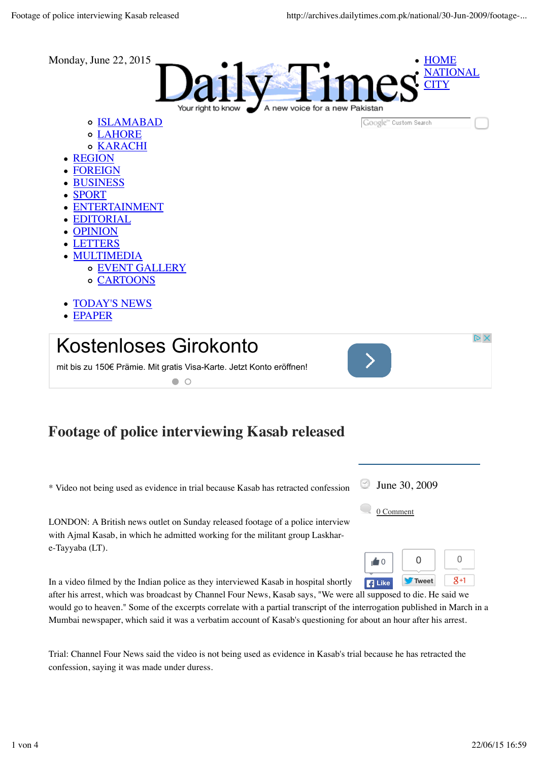

## **Footage of police interviewing Kasab released**

June 30, 2009 \* Video not being used as evidence in trial because Kasab has retracted confession Q 0 Comment LONDON: A British news outlet on Sunday released footage of a police interview with Ajmal Kasab, in which he admitted working for the militant group Laskhare-Tayyaba (LT).  $\begin{array}{c|c|c|c|c} \circ & \circ & \circ \end{array}$ 0  $8 + 1$ In a video filmed by the Indian police as they interviewed Kasab in hospital shortly **Like Tweet** 

after his arrest, which was broadcast by Channel Four News, Kasab says, "We were all supposed to die. He said we would go to heaven." Some of the excerpts correlate with a partial transcript of the interrogation published in March in a Mumbai newspaper, which said it was a verbatim account of Kasab's questioning for about an hour after his arrest.

Trial: Channel Four News said the video is not being used as evidence in Kasab's trial because he has retracted the confession, saying it was made under duress.